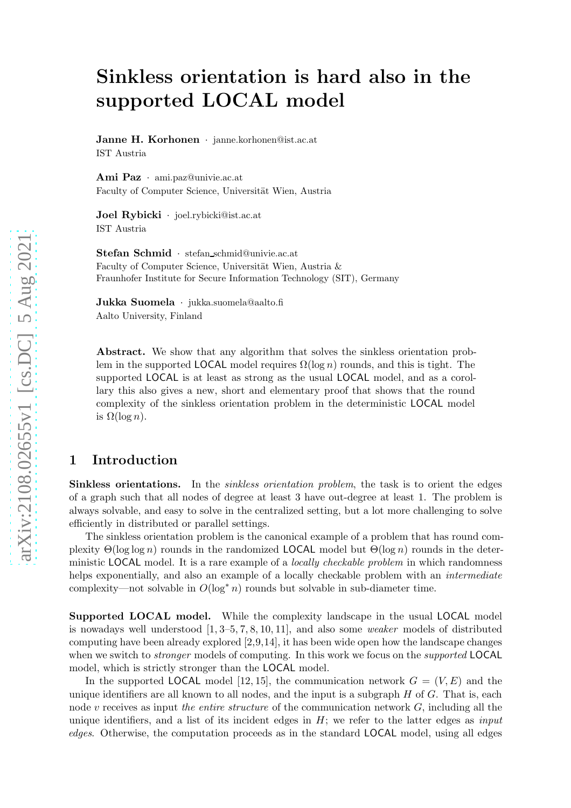# Sinkless orientation is hard also in the supported LOCAL model

Janne H. Korhonen · janne.korhonen@ist.ac.at IST Austria

Ami Paz · ami.paz@univie.ac.at Faculty of Computer Science, Universität Wien, Austria

Joel Rybicki · joel.rybicki@ist.ac.at IST Austria

Stefan Schmid · stefan\_schmid@univie.ac.at Faculty of Computer Science, Universität Wien, Austria & Fraunhofer Institute for Secure Information Technology (SIT), Germany

Jukka Suomela · jukka.suomela@aalto.fi Aalto University, Finland

Abstract. We show that any algorithm that solves the sinkless orientation problem in the supported LOCAL model requires  $\Omega(\log n)$  rounds, and this is tight. The supported LOCAL is at least as strong as the usual LOCAL model, and as a corollary this also gives a new, short and elementary proof that shows that the round complexity of the sinkless orientation problem in the deterministic LOCAL model is  $\Omega(\log n)$ .

# 1 Introduction

Sinkless orientations. In the sinkless orientation problem, the task is to orient the edges of a graph such that all nodes of degree at least 3 have out-degree at least 1. The problem is always solvable, and easy to solve in the centralized setting, but a lot more challenging to solve efficiently in distributed or parallel settings.

The sinkless orientation problem is the canonical example of a problem that has round complexity  $\Theta(\log \log n)$  rounds in the randomized LOCAL model but  $\Theta(\log n)$  rounds in the deterministic LOCAL model. It is a rare example of a *locally checkable problem* in which randomness helps exponentially, and also an example of a locally checkable problem with an *intermediate* complexity—not solvable in  $O(\log^* n)$  rounds but solvable in sub-diameter time.

Supported LOCAL model. While the complexity landscape in the usual LOCAL model is nowadays well understood  $[1, 3-5, 7, 8, 10, 11]$  $[1, 3-5, 7, 8, 10, 11]$  $[1, 3-5, 7, 8, 10, 11]$  $[1, 3-5, 7, 8, 10, 11]$  $[1, 3-5, 7, 8, 10, 11]$  $[1, 3-5, 7, 8, 10, 11]$ , and also some *weaker* models of distributed computing have been already explored [\[2,](#page-4-2)[9,](#page-5-5)[14\]](#page-5-6), it has been wide open how the landscape changes when we switch to *stronger* models of computing. In this work we focus on the *supported* LOCAL model, which is strictly stronger than the LOCAL model.

In the supported LOCAL model [\[12,](#page-5-7) [15\]](#page-5-8), the communication network  $G = (V, E)$  and the unique identifiers are all known to all nodes, and the input is a subgraph  $H$  of  $G$ . That is, each node v receives as input *the entire structure* of the communication network G, including all the unique identifiers, and a list of its incident edges in  $H$ ; we refer to the latter edges as *input* edges. Otherwise, the computation proceeds as in the standard LOCAL model, using all edges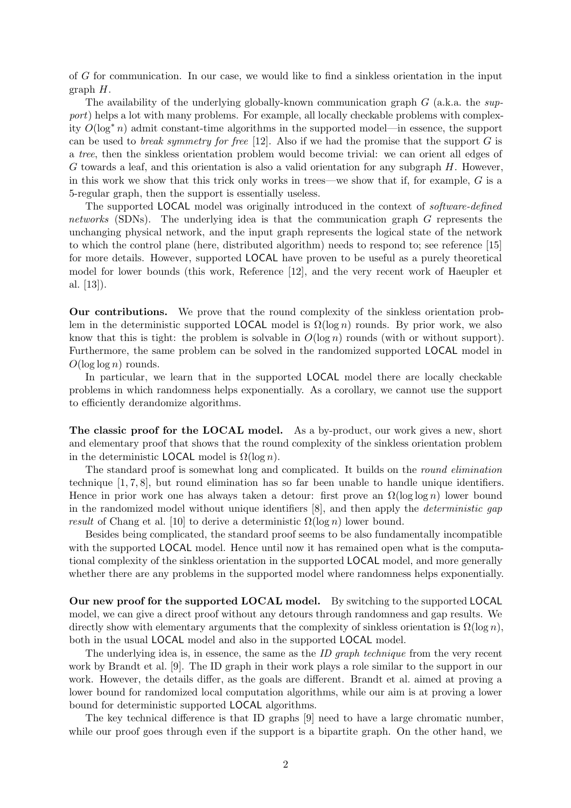of G for communication. In our case, we would like to find a sinkless orientation in the input graph  $H$ .

The availability of the underlying globally-known communication graph  $G$  (a.k.a. the support) helps a lot with many problems. For example, all locally checkable problems with complexity  $O(\log^* n)$  admit constant-time algorithms in the supported model—in essence, the support can be used to *break symmetry for free* [\[12\]](#page-5-7). Also if we had the promise that the support  $G$  is a tree, then the sinkless orientation problem would become trivial: we can orient all edges of G towards a leaf, and this orientation is also a valid orientation for any subgraph  $H$ . However, in this work we show that this trick only works in trees—we show that if, for example,  $G$  is a 5-regular graph, then the support is essentially useless.

The supported LOCAL model was originally introduced in the context of software-defined networks (SDNs). The underlying idea is that the communication graph G represents the unchanging physical network, and the input graph represents the logical state of the network to which the control plane (here, distributed algorithm) needs to respond to; see reference [\[15\]](#page-5-8) for more details. However, supported LOCAL have proven to be useful as a purely theoretical model for lower bounds (this work, Reference [\[12\]](#page-5-7), and the very recent work of Haeupler et al. [\[13\]](#page-5-9)).

Our contributions. We prove that the round complexity of the sinkless orientation problem in the deterministic supported LOCAL model is  $\Omega(\log n)$  rounds. By prior work, we also know that this is tight: the problem is solvable in  $O(\log n)$  rounds (with or without support). Furthermore, the same problem can be solved in the randomized supported LOCAL model in  $O(\log \log n)$  rounds.

In particular, we learn that in the supported LOCAL model there are locally checkable problems in which randomness helps exponentially. As a corollary, we cannot use the support to efficiently derandomize algorithms.

The classic proof for the LOCAL model. As a by-product, our work gives a new, short and elementary proof that shows that the round complexity of the sinkless orientation problem in the deterministic **LOCAL** model is  $\Omega(\log n)$ .

The standard proof is somewhat long and complicated. It builds on the round elimination technique [\[1,](#page-4-0) [7,](#page-5-1) [8\]](#page-5-2), but round elimination has so far been unable to handle unique identifiers. Hence in prior work one has always taken a detour: first prove an  $\Omega(\log \log n)$  lower bound in the randomized model without unique identifiers [\[8\]](#page-5-2), and then apply the deterministic gap result of Chang et al. [\[10\]](#page-5-3) to derive a deterministic  $\Omega(\log n)$  lower bound.

Besides being complicated, the standard proof seems to be also fundamentally incompatible with the supported **LOCAL** model. Hence until now it has remained open what is the computational complexity of the sinkless orientation in the supported LOCAL model, and more generally whether there are any problems in the supported model where randomness helps exponentially.

Our new proof for the supported LOCAL model. By switching to the supported LOCAL model, we can give a direct proof without any detours through randomness and gap results. We directly show with elementary arguments that the complexity of sinkless orientation is  $\Omega(\log n)$ , both in the usual LOCAL model and also in the supported LOCAL model.

The underlying idea is, in essence, the same as the ID graph technique from the very recent work by Brandt et al. [\[9\]](#page-5-5). The ID graph in their work plays a role similar to the support in our work. However, the details differ, as the goals are different. Brandt et al. aimed at proving a lower bound for randomized local computation algorithms, while our aim is at proving a lower bound for deterministic supported LOCAL algorithms.

The key technical difference is that ID graphs [\[9\]](#page-5-5) need to have a large chromatic number, while our proof goes through even if the support is a bipartite graph. On the other hand, we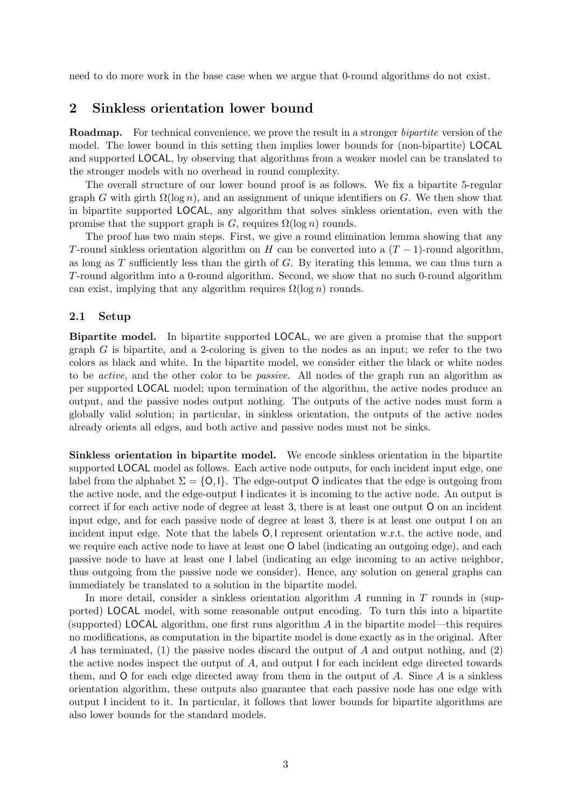need to do more work in the base case when we argue that 0-round algorithms do not exist.

## 2 Sinkless orientation lower bound

Roadmap. For technical convenience, we prove the result in a stronger bipartite version of the model. The lower bound in this setting then implies lower bounds for (non-bipartite) LOCAL and supported LOCAL, by observing that algorithms from a weaker model can be translated to the stronger models with no overhead in round complexity.

The overall structure of our lower bound proof is as follows. We fix a bipartite 5-regular graph G with girth  $\Omega(\log n)$ , and an assignment of unique identifiers on G. We then show that in bipartite supported LOCAL, any algorithm that solves sinkless orientation, even with the promise that the support graph is G, requires  $\Omega(\log n)$  rounds.

The proof has two main steps. First, we give a round elimination lemma showing that any T-round sinkless orientation algorithm on H can be converted into a  $(T - 1)$ -round algorithm, as long as  $T$  sufficiently less than the girth of  $G$ . By iterating this lemma, we can thus turn a T-round algorithm into a 0-round algorithm. Second, we show that no such 0-round algorithm can exist, implying that any algorithm requires  $\Omega(\log n)$  rounds.

#### 2.1 Setup

Bipartite model. In bipartite supported LOCAL, we are given a promise that the support graph  $G$  is bipartite, and a 2-coloring is given to the nodes as an input; we refer to the two colors as black and white. In the bipartite model, we consider either the black or white nodes to be active, and the other color to be passive. All nodes of the graph run an algorithm as per supported LOCAL model; upon termination of the algorithm, the active nodes produce an output, and the passive nodes output nothing. The outputs of the active nodes must form a globally valid solution; in particular, in sinkless orientation, the outputs of the active nodes already orients all edges, and both active and passive nodes must not be sinks.

Sinkless orientation in bipartite model. We encode sinkless orientation in the bipartite supported LOCAL model as follows. Each active node outputs, for each incident input edge, one label from the alphabet  $\Sigma = \{0,1\}$ . The edge-output O indicates that the edge is outgoing from the active node, and the edge-output I indicates it is incoming to the active node. An output is correct if for each active node of degree at least 3, there is at least one output O on an incident input edge, and for each passive node of degree at least 3, there is at least one output I on an incident input edge. Note that the labels  $O, I$  represent orientation w.r.t. the active node, and we require each active node to have at least one O label (indicating an outgoing edge), and each passive node to have at least one I label (indicating an edge incoming to an active neighbor, thus outgoing from the passive node we consider). Hence, any solution on general graphs can immediately be translated to a solution in the bipartite model.

In more detail, consider a sinkless orientation algorithm  $\tilde{A}$  running in  $T$  rounds in (supported) LOCAL model, with some reasonable output encoding. To turn this into a bipartite (supported) LOCAL algorithm, one first runs algorithm  $A$  in the bipartite model—this requires no modifications, as computation in the bipartite model is done exactly as in the original. After A has terminated, (1) the passive nodes discard the output of A and output nothing, and (2) the active nodes inspect the output of  $A$ , and output I for each incident edge directed towards them, and  $O$  for each edge directed away from them in the output of  $A$ . Since  $A$  is a sinkless orientation algorithm, these outputs also guarantee that each passive node has one edge with output I incident to it. In particular, it follows that lower bounds for bipartite algorithms are also lower bounds for the standard models.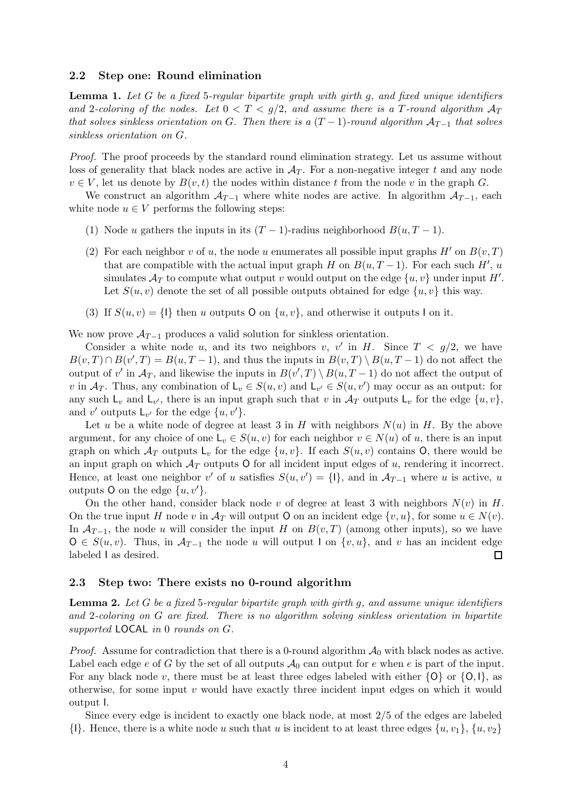#### 2.2 Step one: Round elimination

<span id="page-3-0"></span>**Lemma 1.** Let G be a fixed 5-regular bipartite graph with girth g, and fixed unique identifiers and 2-coloring of the nodes. Let  $0 < T < g/2$ , and assume there is a T-round algorithm  $A_T$ that solves sinkless orientation on G. Then there is a  $(T-1)$ -round algorithm  $A_{T-1}$  that solves sinkless orientation on G.

Proof. The proof proceeds by the standard round elimination strategy. Let us assume without loss of generality that black nodes are active in  $A_T$ . For a non-negative integer t and any node  $v \in V$ , let us denote by  $B(v, t)$  the nodes within distance t from the node v in the graph G.

We construct an algorithm  $A_{T-1}$  where white nodes are active. In algorithm  $A_{T-1}$ , each white node  $u \in V$  performs the following steps:

- (1) Node u gathers the inputs in its  $(T 1)$ -radius neighborhood  $B(u, T 1)$ .
- (2) For each neighbor v of u, the node u enumerates all possible input graphs  $H'$  on  $B(v,T)$ that are compatible with the actual input graph H on  $B(u, T-1)$ . For each such  $H'$ ,  $u$ simulates  $\mathcal{A}_T$  to compute what output v would output on the edge  $\{u, v\}$  under input H'. Let  $S(u, v)$  denote the set of all possible outputs obtained for edge  $\{u, v\}$  this way.
- (3) If  $S(u, v) = \{1\}$  then u outputs O on  $\{u, v\}$ , and otherwise it outputs I on it.

We now prove  $A_{T-1}$  produces a valid solution for sinkless orientation.

Consider a white node u, and its two neighbors v, v' in H. Since  $T < g/2$ , we have  $B(v,T) \cap B(v',T) = B(u,T-1)$ , and thus the inputs in  $B(v,T) \setminus B(u,T-1)$  do not affect the output of v' in  $\mathcal{A}_T$ , and likewise the inputs in  $B(v',T) \setminus B(u,T-1)$  do not affect the output of v in  $\mathcal{A}_T$ . Thus, any combination of  $L_v \in S(u, v)$  and  $L_{v'} \in S(u, v')$  may occur as an output: for any such  $\mathsf{L}_v$  and  $\mathsf{L}_{v'}$ , there is an input graph such that v in  $\mathcal{A}_T$  outputs  $\mathsf{L}_v$  for the edge  $\{u, v\}$ , and v' outputs  $\mathsf{L}_{v'}$  for the edge  $\{u, v'\}.$ 

Let u be a white node of degree at least 3 in H with neighbors  $N(u)$  in H. By the above argument, for any choice of one  $L_v \in S(u, v)$  for each neighbor  $v \in N(u)$  of u, there is an input graph on which  $\mathcal{A}_T$  outputs  $\mathsf{L}_v$  for the edge  $\{u, v\}$ . If each  $S(u, v)$  contains O, there would be an input graph on which  $\mathcal{A}_T$  outputs O for all incident input edges of u, rendering it incorrect. Hence, at least one neighbor v' of u satisfies  $S(u, v') = \{1\}$ , and in  $\mathcal{A}_{T-1}$  where u is active, u outputs O on the edge  $\{u, v'\}.$ 

On the other hand, consider black node v of degree at least 3 with neighbors  $N(v)$  in H. On the true input H node v in  $\mathcal{A}_T$  will output O on an incident edge  $\{v, u\}$ , for some  $u \in N(v)$ . In  $\mathcal{A}_{T-1}$ , the node u will consider the input H on  $B(v,T)$  (among other inputs), so we have  $O \in S(u, v)$ . Thus, in  $\mathcal{A}_{T-1}$  the node u will output I on  $\{v, u\}$ , and v has an incident edge labeled I as desired.  $\Box$ 

#### 2.3 Step two: There exists no 0-round algorithm

<span id="page-3-1"></span>**Lemma 2.** Let G be a fixed 5-regular bipartite graph with girth g, and assume unique identifiers and 2-coloring on G are fixed. There is no algorithm solving sinkless orientation in bipartite supported LOCAL in 0 rounds on G.

*Proof.* Assume for contradiction that there is a 0-round algorithm  $A_0$  with black nodes as active. Label each edge e of G by the set of all outputs  $A_0$  can output for e when e is part of the input. For any black node v, there must be at least three edges labeled with either  $\{O\}$  or  $\{O, I\}$ , as otherwise, for some input  $v$  would have exactly three incident input edges on which it would output I.

Since every edge is incident to exactly one black node, at most 2/5 of the edges are labeled  $\{1\}$ . Hence, there is a white node u such that u is incident to at least three edges  $\{u, v_1\}$ ,  $\{u, v_2\}$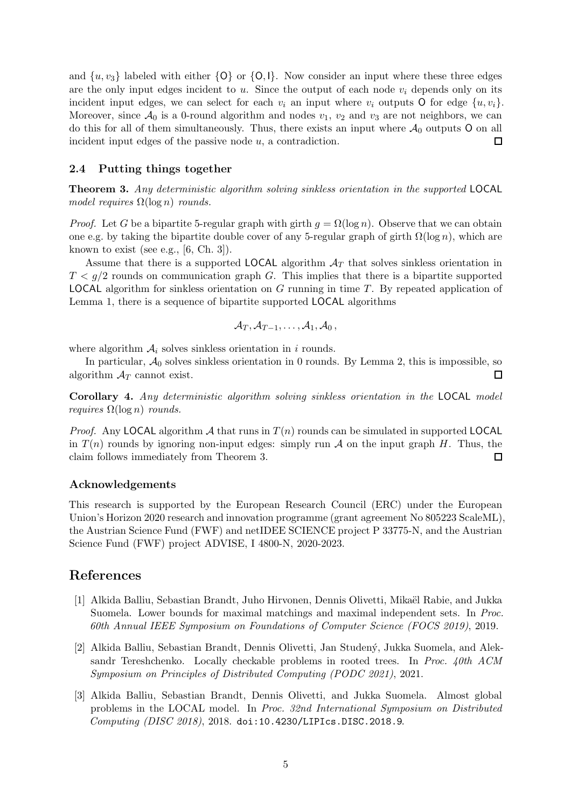and  $\{u, v_3\}$  labeled with either  $\{O\}$  or  $\{O, I\}$ . Now consider an input where these three edges are the only input edges incident to  $u$ . Since the output of each node  $v_i$  depends only on its incident input edges, we can select for each  $v_i$  an input where  $v_i$  outputs O for edge  $\{u, v_i\}$ . Moreover, since  $\mathcal{A}_0$  is a 0-round algorithm and nodes  $v_1, v_2$  and  $v_3$  are not neighbors, we can do this for all of them simultaneously. Thus, there exists an input where  $\mathcal{A}_0$  outputs O on all incident input edges of the passive node  $u$ , a contradiction. П

#### 2.4 Putting things together

<span id="page-4-3"></span>Theorem 3. Any deterministic algorithm solving sinkless orientation in the supported LOCAL model requires  $\Omega(\log n)$  rounds.

*Proof.* Let G be a bipartite 5-regular graph with girth  $g = \Omega(\log n)$ . Observe that we can obtain one e.g. by taking the bipartite double cover of any 5-regular graph of girth  $\Omega(\log n)$ , which are known to exist (see e.g.,  $[6, Ch. 3]$ ).

Assume that there is a supported LOCAL algorithm  $A_T$  that solves sinkless orientation in  $T < g/2$  rounds on communication graph G. This implies that there is a bipartite supported **LOCAL** algorithm for sinkless orientation on G running in time  $T$ . By repeated application of Lemma [1,](#page-3-0) there is a sequence of bipartite supported LOCAL algorithms

$$
\mathcal{A}_T, \mathcal{A}_{T-1}, \ldots, \mathcal{A}_1, \mathcal{A}_0\,,
$$

where algorithm  $A_i$  solves sinkless orientation in i rounds.

In particular,  $A_0$  solves sinkless orientation in 0 rounds. By Lemma [2,](#page-3-1) this is impossible, so  $\Box$ algorithm  $A_T$  cannot exist.

Corollary 4. Any deterministic algorithm solving sinkless orientation in the LOCAL model requires  $\Omega(\log n)$  rounds.

*Proof.* Any LOCAL algorithm A that runs in  $T(n)$  rounds can be simulated in supported LOCAL in  $T(n)$  rounds by ignoring non-input edges: simply run A on the input graph H. Thus, the claim follows immediately from Theorem [3.](#page-4-3)  $\Box$ 

#### Acknowledgements

This research is supported by the European Research Council (ERC) under the European Union's Horizon 2020 research and innovation programme (grant agreement No 805223 ScaleML), the Austrian Science Fund (FWF) and netIDEE SCIENCE project P 33775-N, and the Austrian Science Fund (FWF) project ADVISE, I 4800-N, 2020-2023.

### <span id="page-4-0"></span>References

- [1] Alkida Balliu, Sebastian Brandt, Juho Hirvonen, Dennis Olivetti, Mikaël Rabie, and Jukka Suomela. Lower bounds for maximal matchings and maximal independent sets. In Proc. 60th Annual IEEE Symposium on Foundations of Computer Science (FOCS 2019), 2019.
- <span id="page-4-2"></span>[2] Alkida Balliu, Sebastian Brandt, Dennis Olivetti, Jan Studen´y, Jukka Suomela, and Aleksandr Tereshchenko. Locally checkable problems in rooted trees. In Proc. 40th ACM Symposium on Principles of Distributed Computing (PODC 2021), 2021.
- <span id="page-4-1"></span>[3] Alkida Balliu, Sebastian Brandt, Dennis Olivetti, and Jukka Suomela. Almost global problems in the LOCAL model. In Proc. 32nd International Symposium on Distributed Computing (DISC 2018), 2018. [doi:10.4230/LIPIcs.DISC.2018.9](https://doi.org/10.4230/LIPIcs.DISC.2018.9).